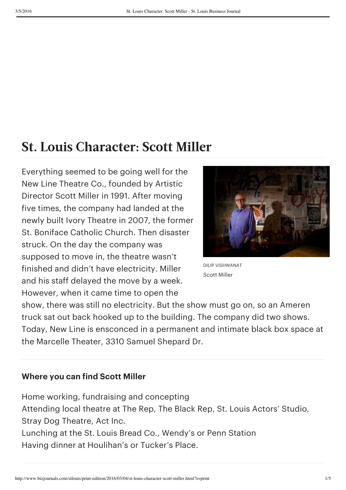## **St. Louis Character: Scott Miller**

Everything seemed to be going well for the New Line Theatre Co., founded by Artistic Director Scott Miller in 1991. After moving five times, the company had landed at the newly built Ivory Theatre in 2007, the former St. Boniface Catholic Church. Then disaster struck. On the day the company was supposed to move in, the theatre wasn't finished and didn't have electricity. Miller and his staff delayed the move by a week. However, when it came time to open the



DILIP VISHWANAT Scott Miller

show, there was still no electricity. But the show must go on, so an Ameren truck sat out back hooked up to the building. The company did two shows. Today, New Line is ensconced in a permanent and intimate black box space at the Marcelle Theater, 3310 Samuel Shepard Dr.

## **Where you can find Scott Miller**

Home working, fundraising and concepting Attending local theatre at The Rep, The Black Rep, St. Louis Actors' Studio, Stray Dog Theatre, Act Inc. Lunching at the St. Louis Bread Co., Wendy's or Penn Station Having dinner at Houlihan's or Tucker's Place.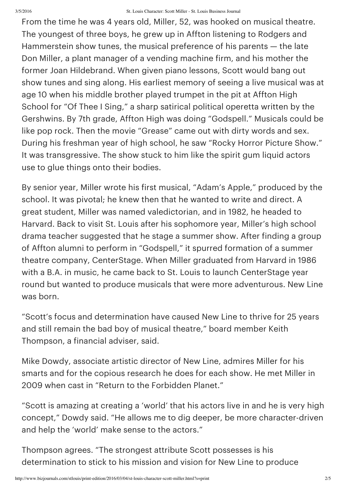From the time he was 4 years old, Miller, 52, was hooked on musical theatre. The youngest of three boys, he grew up in Affton listening to Rodgers and Hammerstein show tunes, the musical preference of his parents — the late Don Miller, a plant manager of a vending machine firm, and his mother the former Joan Hildebrand. When given piano lessons, Scott would bang out show tunes and sing along. His earliest memory of seeing a live musical was at age 10 when his middle brother played trumpet in the pit at Affton High School for "Of Thee I Sing," a sharp satirical political operetta written by the Gershwins. By 7th grade, Affton High was doing "Godspell." Musicals could be like pop rock. Then the movie "Grease" came out with dirty words and sex. During his freshman year of high school, he saw "Rocky Horror Picture Show." It was transgressive. The show stuck to him like the spirit gum liquid actors use to glue things onto their bodies.

By senior year, Miller wrote his first musical, "Adam's Apple," produced by the school. It was pivotal; he knew then that he wanted to write and direct. A great student, Miller was named valedictorian, and in 1982, he headed to Harvard. Back to visit St. Louis after his sophomore year, Miller's high school drama teacher suggested that he stage a summer show. After finding a group of Affton alumni to perform in "Godspell," it spurred formation of a summer theatre company, CenterStage. When Miller graduated from Harvard in 1986 with a B.A. in music, he came back to St. Louis to launch CenterStage year round but wanted to produce musicals that were more adventurous. New Line was born.

"Scott's focus and determination have caused New Line to thrive for 25 years and still remain the bad boy of musical theatre," board member Keith Thompson, a financial adviser, said.

Mike Dowdy, associate artistic director of New Line, admires Miller for his smarts and for the copious research he does for each show. He met Miller in 2009 when cast in "Return to the Forbidden Planet."

"Scott is amazing at creating a 'world' that his actors live in and he is very high concept," Dowdy said. "He allows me to dig deeper, be more character-driven and help the 'world' make sense to the actors."

Thompson agrees. "The strongest attribute Scott possesses is his determination to stick to his mission and vision for New Line to produce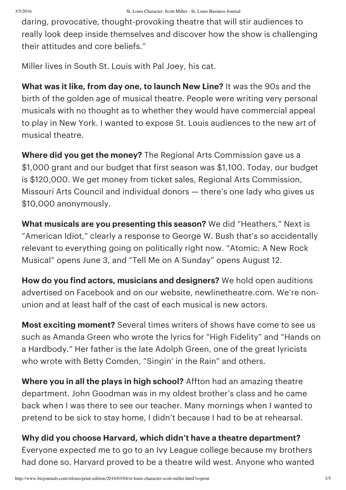daring, provocative, thought-provoking theatre that will stir audiences to really look deep inside themselves and discover how the show is challenging their attitudes and core beliefs."

Miller lives in South St. Louis with Pal Joey, his cat.

**What was it like, from day one, to launch New Line?** It was the 90s and the birth of the golden age of musical theatre. People were writing very personal musicals with no thought as to whether they would have commercial appeal to play in New York. I wanted to expose St. Louis audiences to the new art of musical theatre.

**Where did you get the money?** The Regional Arts Commission gave us a \$1,000 grant and our budget that first season was \$1,100. Today, our budget is \$120,000. We get money from ticket sales, Regional Arts Commission, Missouri Arts Council and individual donors — there's one lady who gives us \$10,000 anonymously.

**What musicals are you presenting this season?** We did "Heathers," Next is "American Idiot," clearly a response to George W. Bush that's so accidentally relevant to everything going on politically right now. "Atomic: A New Rock Musical" opens June 3, and "Tell Me on A Sunday" opens August 12.

**How do you find actors, musicians and designers?** We hold open auditions advertised on Facebook and on our website, newlinetheatre.com. We're nonunion and at least half of the cast of each musical is new actors.

**Most exciting moment?** Several times writers of shows have come to see us such as Amanda Green who wrote the lyrics for "High Fidelity" and "Hands on a Hardbody." Her father is the late Adolph Green, one of the great lyricists who wrote with Betty Comden, "Singin' in the Rain" and others.

**Where you in all the plays in high school?** Affton had an amazing theatre department. John Goodman was in my oldest brother's class and he came back when I was there to see our teacher. Many mornings when I wanted to pretend to be sick to stay home, I didn't because I had to be at rehearsal.

**Why did you choose Harvard, which didn't have a theatre department?** Everyone expected me to go to an Ivy League college because my brothers had done so. Harvard proved to be a theatre wild west. Anyone who wanted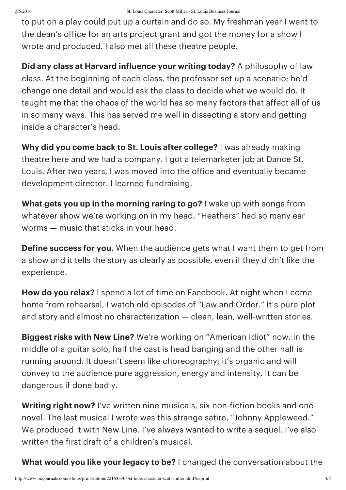to put on a play could put up a curtain and do so. My freshman year I went to the dean's office for an arts project grant and got the money for a show I wrote and produced. I also met all these theatre people.

**Did any class at Harvard influence your writing today?** A philosophy of law class. At the beginning of each class, the professor set up a scenario; he'd change one detail and would ask the class to decide what we would do. It taught me that the chaos of the world has so many factors that affect all of us in so many ways. This has served me well in dissecting a story and getting inside a character's head.

**Why did you come back to St. Louis after college?** I was already making theatre here and we had a company. I got a telemarketer job at Dance St. Louis. After two years, I was moved into the office and eventually became development director. I learned fundraising.

**What gets you up in the morning raring to go?** I wake up with songs from whatever show we're working on in my head. "Heathers" had so many ear worms — music that sticks in your head.

**Define success for you.** When the audience gets what I want them to get from a show and it tells the story as clearly as possible, even if they didn't like the experience.

**How do you relax?** I spend a lot of time on Facebook. At night when I come home from rehearsal, I watch old episodes of "Law and Order." It's pure plot and story and almost no characterization — clean, lean, well-written stories.

**Biggest risks with New Line?** We're working on "American Idiot" now. In the middle of a guitar solo, half the cast is head banging and the other half is running around. It doesn't seem like choreography; it's organic and will convey to the audience pure aggression, energy and intensity. It can be dangerous if done badly.

**Writing right now?** I've written nine musicals, six non-fiction books and one novel. The last musical I wrote was this strange satire, "Johnny Appleweed." We produced it with New Line. I've always wanted to write a sequel. I've also written the first draft of a children's musical.

**What would you like your legacy to be?** I changed the conversation about the